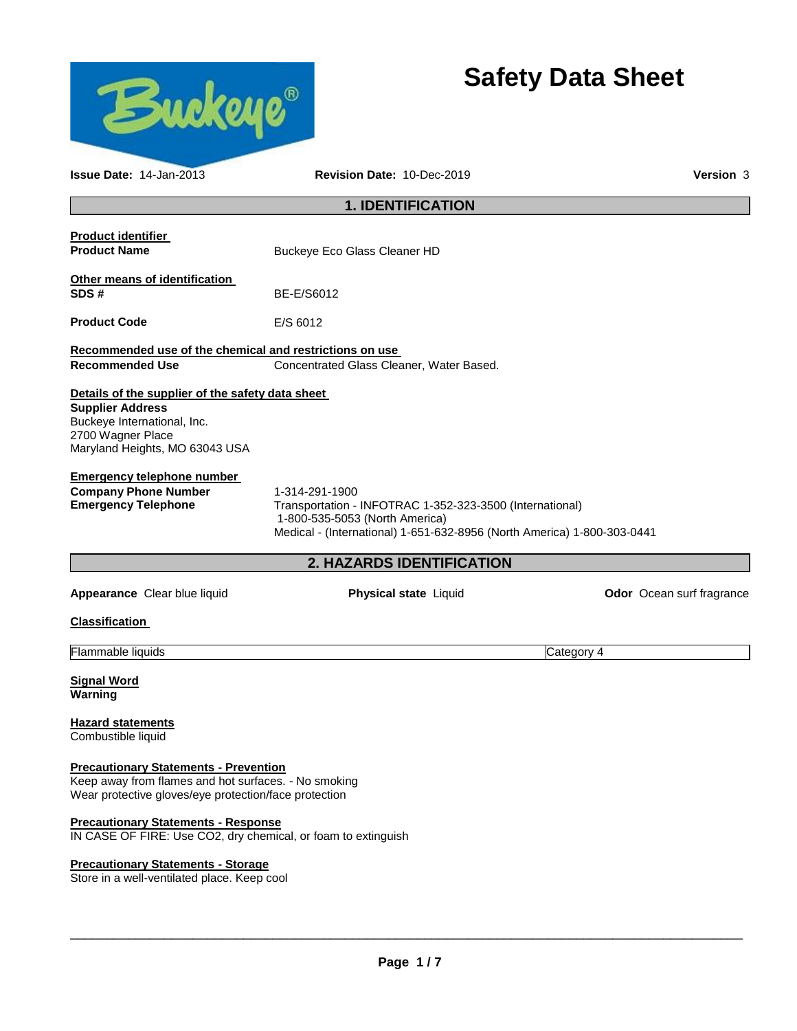

# **Safety Data Sheet**

| <b>Issue Date: 14-Jan-2013</b>                                                                                                                                                                         | Revision Date: 10-Dec-2019                                                                                                                                                              | <b>Version 3</b>          |
|--------------------------------------------------------------------------------------------------------------------------------------------------------------------------------------------------------|-----------------------------------------------------------------------------------------------------------------------------------------------------------------------------------------|---------------------------|
|                                                                                                                                                                                                        | <b>1. IDENTIFICATION</b>                                                                                                                                                                |                           |
| <b>Product identifier</b><br><b>Product Name</b>                                                                                                                                                       | Buckeye Eco Glass Cleaner HD                                                                                                                                                            |                           |
| Other means of identification<br>SDS#                                                                                                                                                                  | BE-E/S6012                                                                                                                                                                              |                           |
| <b>Product Code</b>                                                                                                                                                                                    | E/S 6012                                                                                                                                                                                |                           |
| Recommended use of the chemical and restrictions on use                                                                                                                                                |                                                                                                                                                                                         |                           |
| <b>Recommended Use</b>                                                                                                                                                                                 | Concentrated Glass Cleaner, Water Based.                                                                                                                                                |                           |
| Details of the supplier of the safety data sheet<br><b>Supplier Address</b><br>Buckeye International, Inc.<br>2700 Wagner Place<br>Maryland Heights, MO 63043 USA<br><b>Emergency telephone number</b> |                                                                                                                                                                                         |                           |
| <b>Company Phone Number</b><br><b>Emergency Telephone</b>                                                                                                                                              | 1-314-291-1900<br>Transportation - INFOTRAC 1-352-323-3500 (International)<br>1-800-535-5053 (North America)<br>Medical - (International) 1-651-632-8956 (North America) 1-800-303-0441 |                           |
|                                                                                                                                                                                                        | <b>2. HAZARDS IDENTIFICATION</b>                                                                                                                                                        |                           |
| Appearance Clear blue liquid                                                                                                                                                                           | Physical state Liquid                                                                                                                                                                   | Odor Ocean surf fragrance |
| <b>Classification</b>                                                                                                                                                                                  |                                                                                                                                                                                         |                           |
| Flammable liquids                                                                                                                                                                                      |                                                                                                                                                                                         | Category 4                |
| <b>Signal Word</b><br>Warning                                                                                                                                                                          |                                                                                                                                                                                         |                           |
| <b>Hazard statements</b><br>Combustible liquid                                                                                                                                                         |                                                                                                                                                                                         |                           |
| <b>Precautionary Statements - Prevention</b><br>Keep away from flames and hot surfaces. - No smoking<br>Wear protective gloves/eye protection/face protection                                          |                                                                                                                                                                                         |                           |
| <b>Precautionary Statements - Response</b><br>IN CASE OF FIRE: Use CO2, dry chemical, or foam to extinguish                                                                                            |                                                                                                                                                                                         |                           |

**Precautionary Statements - Storage**

Store in a well-ventilated place. Keep cool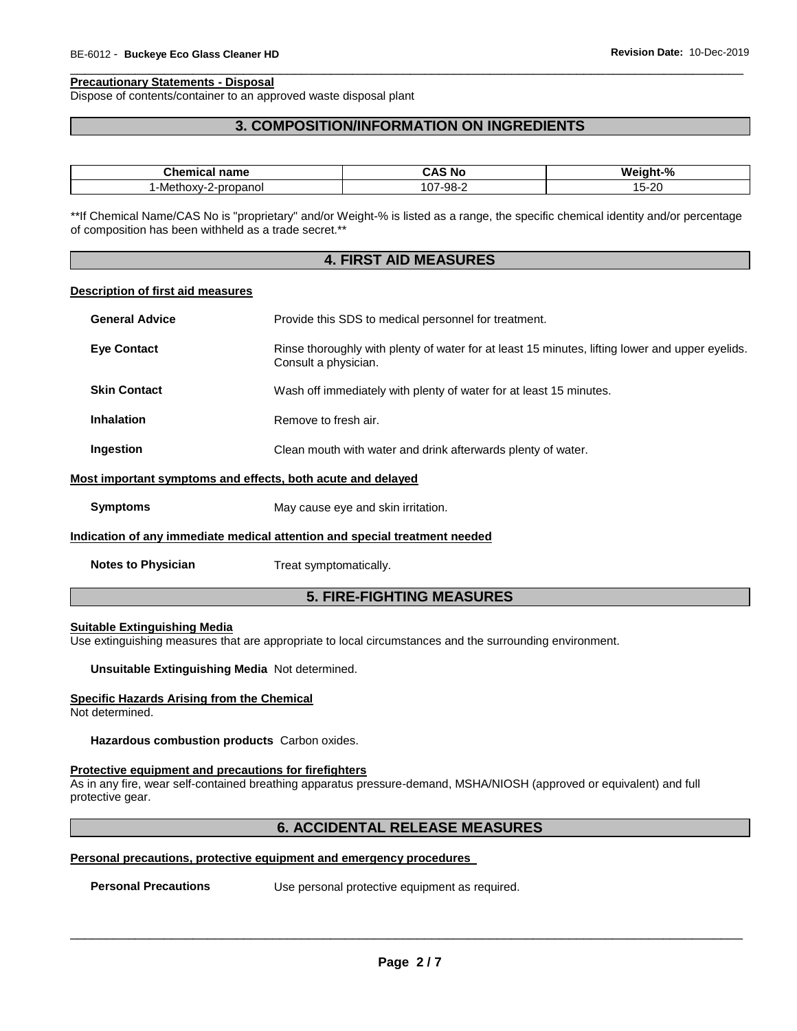#### **Precautionary Statements - Disposal**

Dispose of contents/container to an approved waste disposal plant

# **3. COMPOSITION/INFORMATION ON INGREDIENTS**

\_\_\_\_\_\_\_\_\_\_\_\_\_\_\_\_\_\_\_\_\_\_\_\_\_\_\_\_\_\_\_\_\_\_\_\_\_\_\_\_\_\_\_\_\_\_\_\_\_\_\_\_\_\_\_\_\_\_\_\_\_\_\_\_\_\_\_\_\_\_\_\_\_\_\_\_\_\_\_\_\_\_\_\_\_\_\_\_\_\_\_\_\_

| <b>Themical nation</b><br>name<br>⊶nem | . .<br>N0<br>umi | $\Omega$<br>Мc<br>nht-'<br>70 |
|----------------------------------------|------------------|-------------------------------|
| propanol<br>. -Methoxy-∵<br>-          | -98-<br>٬∩<br>ີ  | ററ<br>∙∠∪<br>ັ<br>___         |

\*\*If Chemical Name/CAS No is "proprietary" and/or Weight-% is listed as a range, the specific chemical identity and/or percentage of composition has been withheld as a trade secret.\*\*

# **4. FIRST AID MEASURES**

#### **Description of first aid measures**

| <b>General Advice</b>                                                                                            | Provide this SDS to medical personnel for treatment.                                                                    |
|------------------------------------------------------------------------------------------------------------------|-------------------------------------------------------------------------------------------------------------------------|
| <b>Eye Contact</b>                                                                                               | Rinse thoroughly with plenty of water for at least 15 minutes, lifting lower and upper eyelids.<br>Consult a physician. |
| <b>Skin Contact</b>                                                                                              | Wash off immediately with plenty of water for at least 15 minutes.                                                      |
| <b>Inhalation</b>                                                                                                | Remove to fresh air.                                                                                                    |
| Ingestion                                                                                                        | Clean mouth with water and drink afterwards plenty of water.                                                            |
| Most important symptoms and effects, both acute and delayed                                                      |                                                                                                                         |
| <b>Symptoms</b>                                                                                                  | May cause eye and skin irritation.                                                                                      |
| الرجاد والمتحدث والمتحدث المالون والمتواطن والمتحال والمتالي والمتحدث والمالية والمتحدث والمتحال والمتحال والمحا |                                                                                                                         |

# **Indication of any immediate medical attention and special treatment needed**

**Notes to Physician Treat symptomatically.** 

# **5. FIRE-FIGHTING MEASURES**

#### **Suitable Extinguishing Media**

Use extinguishing measures that are appropriate to local circumstances and the surrounding environment.

**Unsuitable Extinguishing Media** Not determined.

#### **Specific Hazards Arising from the Chemical**

Not determined.

**Hazardous combustion products** Carbon oxides.

#### **Protective equipment and precautions for firefighters**

As in any fire, wear self-contained breathing apparatus pressure-demand, MSHA/NIOSH (approved or equivalent) and full protective gear.

# **6. ACCIDENTAL RELEASE MEASURES**

# **Personal precautions, protective equipment and emergency procedures**

**Personal Precautions Use personal protective equipment as required.**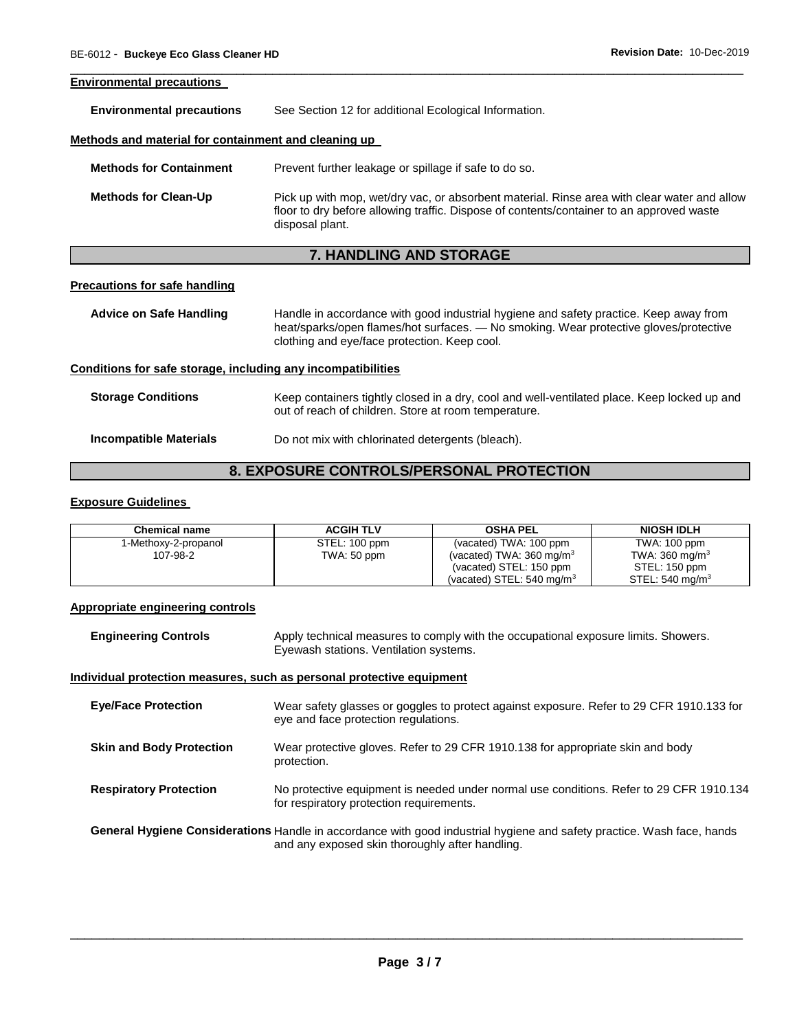#### **Environmental precautions**

**Environmental precautions** See Section 12 for additional Ecological Information.

#### **Methods and material for containment and cleaning up**

| <b>Methods for Containment</b> | Prevent further leakage or spillage if safe to do so.                                                                                                                                                      |
|--------------------------------|------------------------------------------------------------------------------------------------------------------------------------------------------------------------------------------------------------|
| <b>Methods for Clean-Up</b>    | Pick up with mop, wet/dry vac, or absorbent material. Rinse area with clear water and allow<br>floor to dry before allowing traffic. Dispose of contents/container to an approved waste<br>disposal plant. |

\_\_\_\_\_\_\_\_\_\_\_\_\_\_\_\_\_\_\_\_\_\_\_\_\_\_\_\_\_\_\_\_\_\_\_\_\_\_\_\_\_\_\_\_\_\_\_\_\_\_\_\_\_\_\_\_\_\_\_\_\_\_\_\_\_\_\_\_\_\_\_\_\_\_\_\_\_\_\_\_\_\_\_\_\_\_\_\_\_\_\_\_\_

# **7. HANDLING AND STORAGE**

# **Precautions for safe handling**

**Advice on Safe Handling** Handle in accordance with good industrial hygiene and safety practice. Keep away from heat/sparks/open flames/hot surfaces. — No smoking. Wear protective gloves/protective clothing and eye/face protection. Keep cool.

#### **Conditions for safe storage, including any incompatibilities**

| <b>Storage Conditions</b> | Keep containers tightly closed in a dry, cool and well-ventilated place. Keep locked up and<br>out of reach of children. Store at room temperature. |
|---------------------------|-----------------------------------------------------------------------------------------------------------------------------------------------------|
| Incompatible Materials    | Do not mix with chlorinated detergents (bleach).                                                                                                    |

# **8. EXPOSURE CONTROLS/PERSONAL PROTECTION**

# **Exposure Guidelines**

| <b>Chemical name</b> | <b>ACGIH TLV</b> | <b>OSHA PEL</b>                      | <b>NIOSH IDLH</b>         |
|----------------------|------------------|--------------------------------------|---------------------------|
| 1-Methoxy-2-propanol | STEL: 100 ppm    | (vacated) TWA: 100 ppm               | TWA: 100 ppm              |
| 107-98-2             | TWA: 50 ppm      | (vacated) TWA: $360 \text{ mg/m}^3$  | TWA: $360 \text{ mg/m}^3$ |
|                      |                  | (vacated) STEL: 150 ppm              | STEL: 150 ppm             |
|                      |                  | (vacated) STEL: $540 \text{ mg/m}^3$ | STEL: 540 mg/m $3$        |

#### **Appropriate engineering controls**

**Engineering Controls** Apply technical measures to comply with the occupational exposure limits. Showers. Eyewash stations. Ventilation systems.

#### **Individual protection measures, such as personal protective equipment**

| <b>Eye/Face Protection</b>                                                                                             | Wear safety glasses or goggles to protect against exposure. Refer to 29 CFR 1910.133 for<br>eye and face protection regulations.    |
|------------------------------------------------------------------------------------------------------------------------|-------------------------------------------------------------------------------------------------------------------------------------|
| <b>Skin and Body Protection</b>                                                                                        | Wear protective gloves. Refer to 29 CFR 1910.138 for appropriate skin and body<br>protection.                                       |
| <b>Respiratory Protection</b>                                                                                          | No protective equipment is needed under normal use conditions. Refer to 29 CFR 1910.134<br>for respiratory protection requirements. |
| General Hygiene Considerations Handle in accordance with good industrial hygiene and safety practice. Wash face, hands |                                                                                                                                     |

\_\_\_\_\_\_\_\_\_\_\_\_\_\_\_\_\_\_\_\_\_\_\_\_\_\_\_\_\_\_\_\_\_\_\_\_\_\_\_\_\_\_\_\_\_\_\_\_\_\_\_\_\_\_\_\_\_\_\_\_\_\_\_\_\_\_\_\_\_\_\_\_\_\_\_\_\_\_\_\_\_\_\_\_\_\_\_\_\_\_\_\_\_

and any exposed skin thoroughly after handling.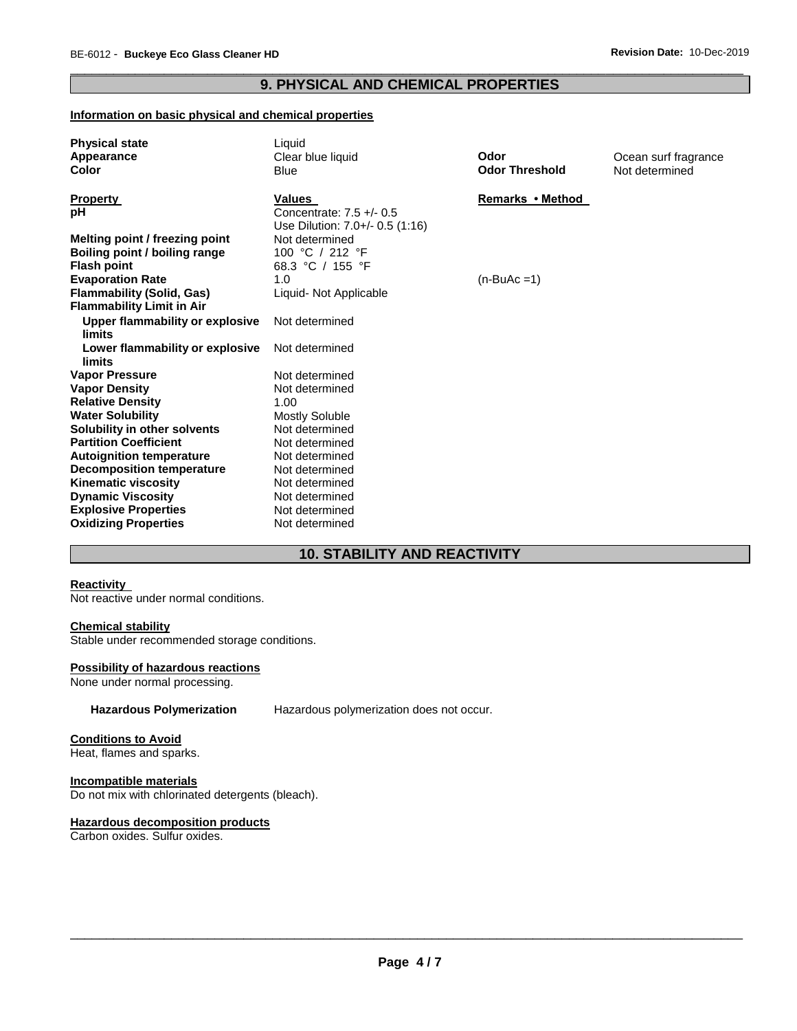# \_\_\_\_\_\_\_\_\_\_\_\_\_\_\_\_\_\_\_\_\_\_\_\_\_\_\_\_\_\_\_\_\_\_\_\_\_\_\_\_\_\_\_\_\_\_\_\_\_\_\_\_\_\_\_\_\_\_\_\_\_\_\_\_\_\_\_\_\_\_\_\_\_\_\_\_\_\_\_\_\_\_\_\_\_\_\_\_\_\_\_\_\_ **9. PHYSICAL AND CHEMICAL PROPERTIES**

# **Information on basic physical and chemical properties**

| <b>Physical state</b>            | Liquid                          |                       |                      |
|----------------------------------|---------------------------------|-----------------------|----------------------|
| Appearance                       | Clear blue liquid               | Odor                  | Ocean surf fragrance |
| Color                            | <b>Blue</b>                     | <b>Odor Threshold</b> | Not determined       |
| <b>Property</b>                  | Values                          | Remarks • Method      |                      |
| pH                               | Concentrate: $7.5 +/- 0.5$      |                       |                      |
|                                  | Use Dilution: 7.0+/- 0.5 (1:16) |                       |                      |
| Melting point / freezing point   | Not determined                  |                       |                      |
| Boiling point / boiling range    | 100 °C / 212 °F                 |                       |                      |
| <b>Flash point</b>               | 68.3 °C / 155 °F                |                       |                      |
| <b>Evaporation Rate</b>          | 1.0                             | $(n-BuAc=1)$          |                      |
| <b>Flammability (Solid, Gas)</b> | Liquid- Not Applicable          |                       |                      |
| <b>Flammability Limit in Air</b> |                                 |                       |                      |
| Upper flammability or explosive  | Not determined                  |                       |                      |
| <b>limits</b>                    |                                 |                       |                      |
| Lower flammability or explosive  | Not determined                  |                       |                      |
| limits                           |                                 |                       |                      |
| <b>Vapor Pressure</b>            | Not determined                  |                       |                      |
| <b>Vapor Density</b>             | Not determined                  |                       |                      |
| <b>Relative Density</b>          | 1.00                            |                       |                      |
| <b>Water Solubility</b>          | Mostly Soluble                  |                       |                      |
| Solubility in other solvents     | Not determined                  |                       |                      |
| <b>Partition Coefficient</b>     | Not determined                  |                       |                      |
| <b>Autoignition temperature</b>  | Not determined                  |                       |                      |
| <b>Decomposition temperature</b> | Not determined                  |                       |                      |
| Kinematic viscosity              | Not determined                  |                       |                      |
| <b>Dynamic Viscosity</b>         | Not determined                  |                       |                      |
| <b>Explosive Properties</b>      | Not determined                  |                       |                      |
| <b>Oxidizing Properties</b>      | Not determined                  |                       |                      |

# **10. STABILITY AND REACTIVITY**

# **Reactivity**

Not reactive under normal conditions.

# **Chemical stability**

Stable under recommended storage conditions.

# **Possibility of hazardous reactions**

None under normal processing.

**Hazardous Polymerization** Hazardous polymerization does not occur.

#### **Conditions to Avoid**

Heat, flames and sparks.

# **Incompatible materials**

Do not mix with chlorinated detergents (bleach).

# **Hazardous decomposition products**

Carbon oxides. Sulfur oxides.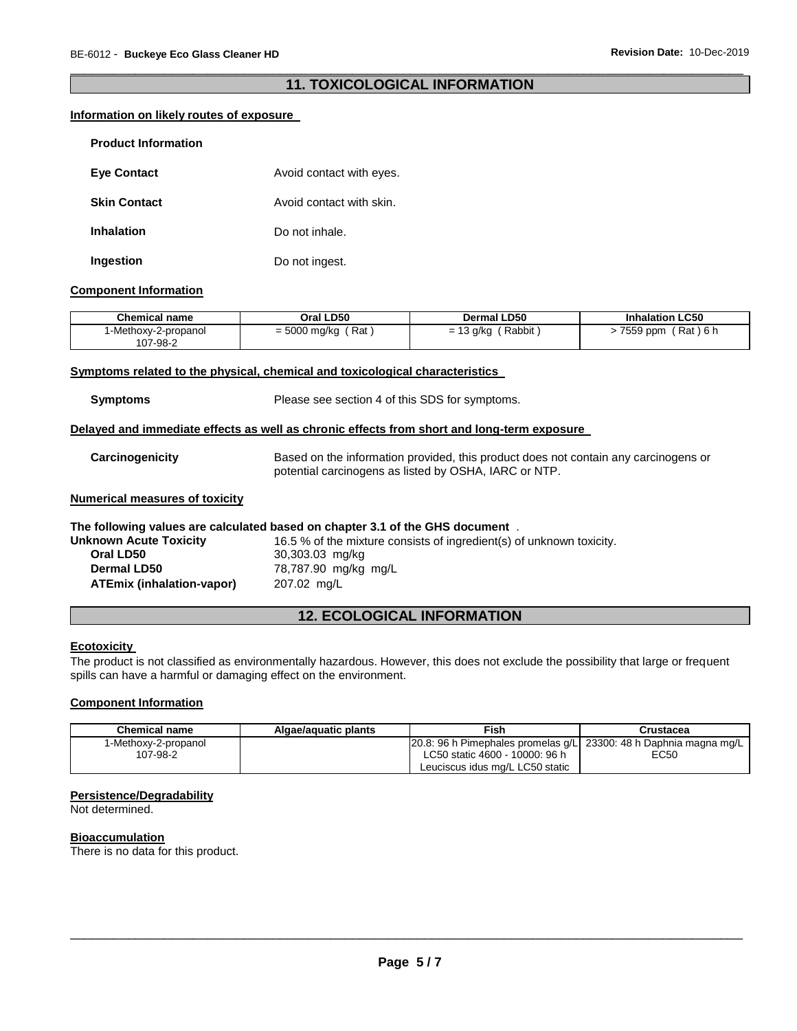# \_\_\_\_\_\_\_\_\_\_\_\_\_\_\_\_\_\_\_\_\_\_\_\_\_\_\_\_\_\_\_\_\_\_\_\_\_\_\_\_\_\_\_\_\_\_\_\_\_\_\_\_\_\_\_\_\_\_\_\_\_\_\_\_\_\_\_\_\_\_\_\_\_\_\_\_\_\_\_\_\_\_\_\_\_\_\_\_\_\_\_\_\_ **11. TOXICOLOGICAL INFORMATION**

# **Information on likely routes of exposure**

| <b>Product Information</b> |                          |
|----------------------------|--------------------------|
| <b>Eye Contact</b>         | Avoid contact with eyes. |
| <b>Skin Contact</b>        | Avoid contact with skin. |
| <b>Inhalation</b>          | Do not inhale.           |
| Ingestion                  | Do not ingest.           |

#### **Component Information**

| Chemical name        | Oral LD50            | Dermal LD50 | <b>Inhalation LC50</b> |
|----------------------|----------------------|-------------|------------------------|
| I-Methoxy-2-propanol | $=$ 5000 mg/kg (Rat) | ' Rabbit    | ์ Rat ) 6 h            |
| 107-98-2             |                      | = 13 g/kg   | 7559 ppm               |

# **Symptoms related to the physical, chemical and toxicological characteristics**

**Symptoms** Please see section 4 of this SDS for symptoms.

# **Delayed and immediate effects as well as chronic effects from short and long-term exposure**

| Carcinogenicity | Based on the information provided, this product does not contain any carcinogens or |
|-----------------|-------------------------------------------------------------------------------------|
|                 | potential carcinogens as listed by OSHA, IARC or NTP.                               |

#### **Numerical measures of toxicity**

#### **The following values are calculated based on chapter 3.1 of the GHS document** .

| <b>Unknown Acute Toxicity</b> | 16.5 % of the mixture consists of ingredient(s) of unknown toxicity. |
|-------------------------------|----------------------------------------------------------------------|
| Oral LD50                     | 30,303.03 mg/kg                                                      |
| <b>Dermal LD50</b>            | 78,787.90 mg/kg mg/L                                                 |
| ATEmix (inhalation-vapor)     | 207.02 mg/L                                                          |

# **12. ECOLOGICAL INFORMATION**

# **Ecotoxicity**

The product is not classified as environmentally hazardous. However, this does not exclude the possibility that large or frequent spills can have a harmful or damaging effect on the environment.

# **Component Information**

| Chemical name        | Algae/aguatic plants | Fish                                                               | Crustacea |
|----------------------|----------------------|--------------------------------------------------------------------|-----------|
| 1-Methoxy-2-propanol |                      | 20.8: 96 h Pimephales promelas q/L  23300: 48 h Daphnia magna mg/L |           |
| 107-98-2             |                      | LC50 static 4600 - 10000: 96 h                                     | EC50      |
|                      |                      | Leuciscus idus mg/L LC50 static                                    |           |

# **Persistence/Degradability**

Not determined.

#### **Bioaccumulation**

There is no data for this product.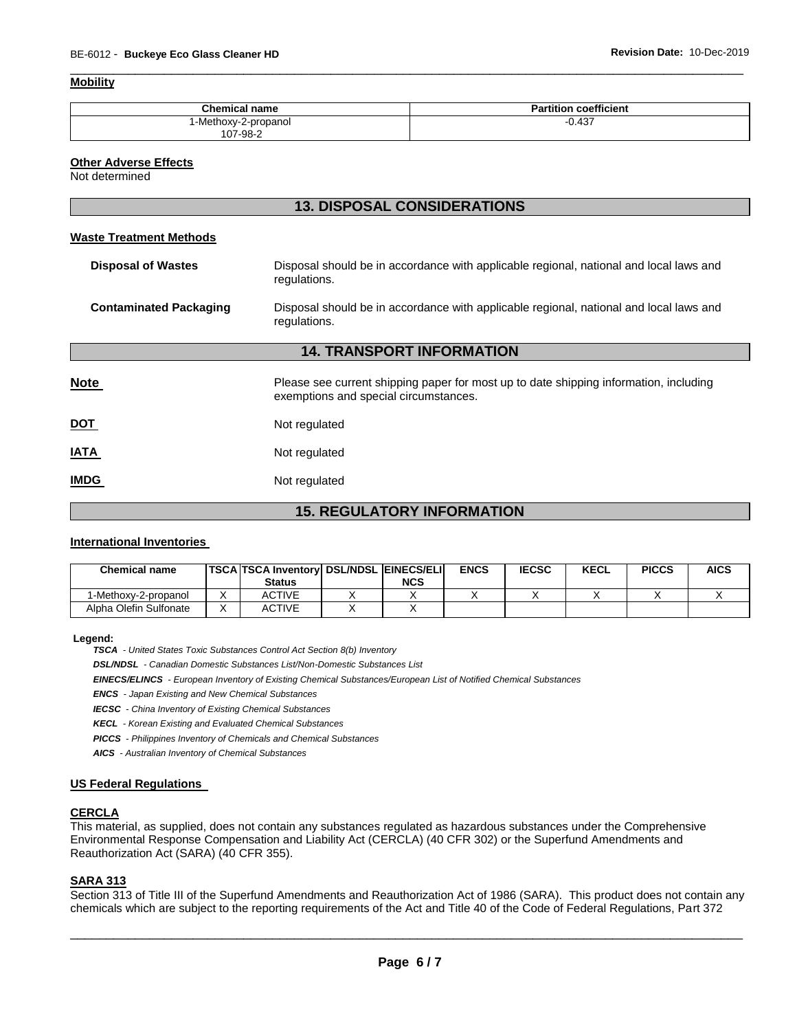#### **Mobility**

| <b>Chemical name</b> | coefficient<br>ан |
|----------------------|-------------------|
| -Methoxy-2-propanol  | 0.437             |
| 107-98-2             |                   |

\_\_\_\_\_\_\_\_\_\_\_\_\_\_\_\_\_\_\_\_\_\_\_\_\_\_\_\_\_\_\_\_\_\_\_\_\_\_\_\_\_\_\_\_\_\_\_\_\_\_\_\_\_\_\_\_\_\_\_\_\_\_\_\_\_\_\_\_\_\_\_\_\_\_\_\_\_\_\_\_\_\_\_\_\_\_\_\_\_\_\_\_\_

#### **Other Adverse Effects**

Not determined

# **13. DISPOSAL CONSIDERATIONS**

#### **Waste Treatment Methods**

| <b>Disposal of Wastes</b>        | Disposal should be in accordance with applicable regional, national and local laws and<br>regulations.                         |  |  |  |  |
|----------------------------------|--------------------------------------------------------------------------------------------------------------------------------|--|--|--|--|
| <b>Contaminated Packaging</b>    | Disposal should be in accordance with applicable regional, national and local laws and<br>regulations.                         |  |  |  |  |
| <b>14. TRANSPORT INFORMATION</b> |                                                                                                                                |  |  |  |  |
| <b>Note</b>                      | Please see current shipping paper for most up to date shipping information, including<br>exemptions and special circumstances. |  |  |  |  |
| DOT                              | Not regulated                                                                                                                  |  |  |  |  |
| <b>ATAI</b>                      | Not regulated                                                                                                                  |  |  |  |  |
| <b>IMDG</b>                      | Not regulated                                                                                                                  |  |  |  |  |

# **15. REGULATORY INFORMATION**

# **International Inventories**

| <b>Chemical name</b>   | <b>ITSCA TSCA Inventory DSL/NDSL EINECS/ELI</b> |            | <b>ENCS</b> | <b>IECSC</b> | <b>KECL</b> | <b>PICCS</b> | <b>AICS</b> |
|------------------------|-------------------------------------------------|------------|-------------|--------------|-------------|--------------|-------------|
|                        | <b>Status</b>                                   | <b>NCS</b> |             |              |             |              |             |
| 1-Methoxy-2-propanol   | ACTIVE                                          |            |             |              |             |              |             |
| Alpha Olefin Sulfonate | ACTIVE                                          |            |             |              |             |              |             |

#### **Legend:**

*TSCA - United States Toxic Substances Control Act Section 8(b) Inventory* 

*DSL/NDSL - Canadian Domestic Substances List/Non-Domestic Substances List* 

*EINECS/ELINCS - European Inventory of Existing Chemical Substances/European List of Notified Chemical Substances* 

*ENCS - Japan Existing and New Chemical Substances* 

*IECSC - China Inventory of Existing Chemical Substances* 

*KECL - Korean Existing and Evaluated Chemical Substances* 

*PICCS - Philippines Inventory of Chemicals and Chemical Substances* 

*AICS - Australian Inventory of Chemical Substances* 

#### **US Federal Regulations**

#### **CERCLA**

This material, as supplied, does not contain any substances regulated as hazardous substances under the Comprehensive Environmental Response Compensation and Liability Act (CERCLA) (40 CFR 302) or the Superfund Amendments and Reauthorization Act (SARA) (40 CFR 355).

#### **SARA 313**

Section 313 of Title III of the Superfund Amendments and Reauthorization Act of 1986 (SARA). This product does not contain any chemicals which are subject to the reporting requirements of the Act and Title 40 of the Code of Federal Regulations, Part 372